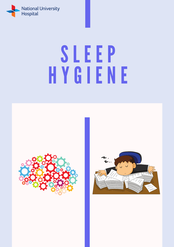

# **SLEEP** H Y G Ī Ē N E

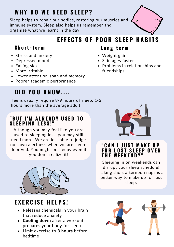# **WH Y D O WE N E E D S L E E P ?**

Sleep helps to repair our bodies, restoring our muscles and  $\epsilon$ immune system. Sleep also helps us remember and organise what we learnt in the day.



# **E F F E C T S O F P O O R S L E E P H A B I T S**

#### **Short-term Long-term**

- Stress and anxiety
- Depressed mood
- Falling sick
- More irritable
- Lower attention-span and memory
- Poorer academic performance

# **D I D Y O U K N OW. . . .**

Teens usually require 8-9 hours of sleep, 1-2 hours more than the average adult.

#### **" B U T I ' M A L R E A D Y U S E D T O S L E E P I N G L E S S !"**

Although you may feel like you are used to sleeping less, you may still need more. We are less able to judge our own alertness when we are sleepdeprived. You might be sleepy even if you don't realize it!



# $EXERCISEHELEPS!$

- Releases chemicals in your brain that reduce anxiety
- Cooling down after a workout prepares your body for sleep
- Limit exercise to 3 hours before bedtime

- Weight gain
- Skin ages faster
- Problems in relationships and friendships



#### **" C A N I J U S T M A K E U P F O R L O S T S L E E P O V E R T H E WE E K E N D ? "**

Sleeping in on weekends can disrupt your sleep schedule! Taking short afternoon naps is a better way to make up for lost sleep.

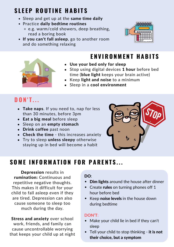# **S L E E P R O U T I N E H A B I T S**

- Sleep and get up at the same time daily
- Practice daily bedtime routines
	- e.g. warm/cold showers, deep breathing, read a boring book
- If you can't fall asleep, go to another room and do something relaxing



### **E N V I R O N M E N T H A B I T S**

- Use your bed only for sleep
- Stop using digital devices 1 hour before bed time (**blue light** keeps your brain active)
- Keep light and noise to a minimum
- Sleep in a cool environment

#### **D O N ' T . . .**

- Take naps. If you need to, nap for less than 30 minutes, before 3pm
- Eat a big meal before sleep
- Sleep on an empty stomach
- Drink coffee past noon
- Check the time this increases anxiety
- Try to sleep unless sleepy otherwise staying up in bed will become a habit



## **SOME INFORMATION FOR PARENTS...**

Depression results in rumination: Continuous and repetitive negative thoughts. This makes it difficult for your child to fall asleep even if they are tired. Depression can also cause someone to sleep too much during the day.

Stress and anxiety over school work, friends, and family can cause uncontrollable worrying that keeps your child up at night

#### DO:

- Dim lights around the house after dinner
- Create rules on turning phones off 1 hour before bed
- Keep noise levels in the house down during bedtime

#### DON'T:

- Make your child lie in bed if they can't sleep
- Tell your child to stop thinking **it is not** their choice, but a symptom